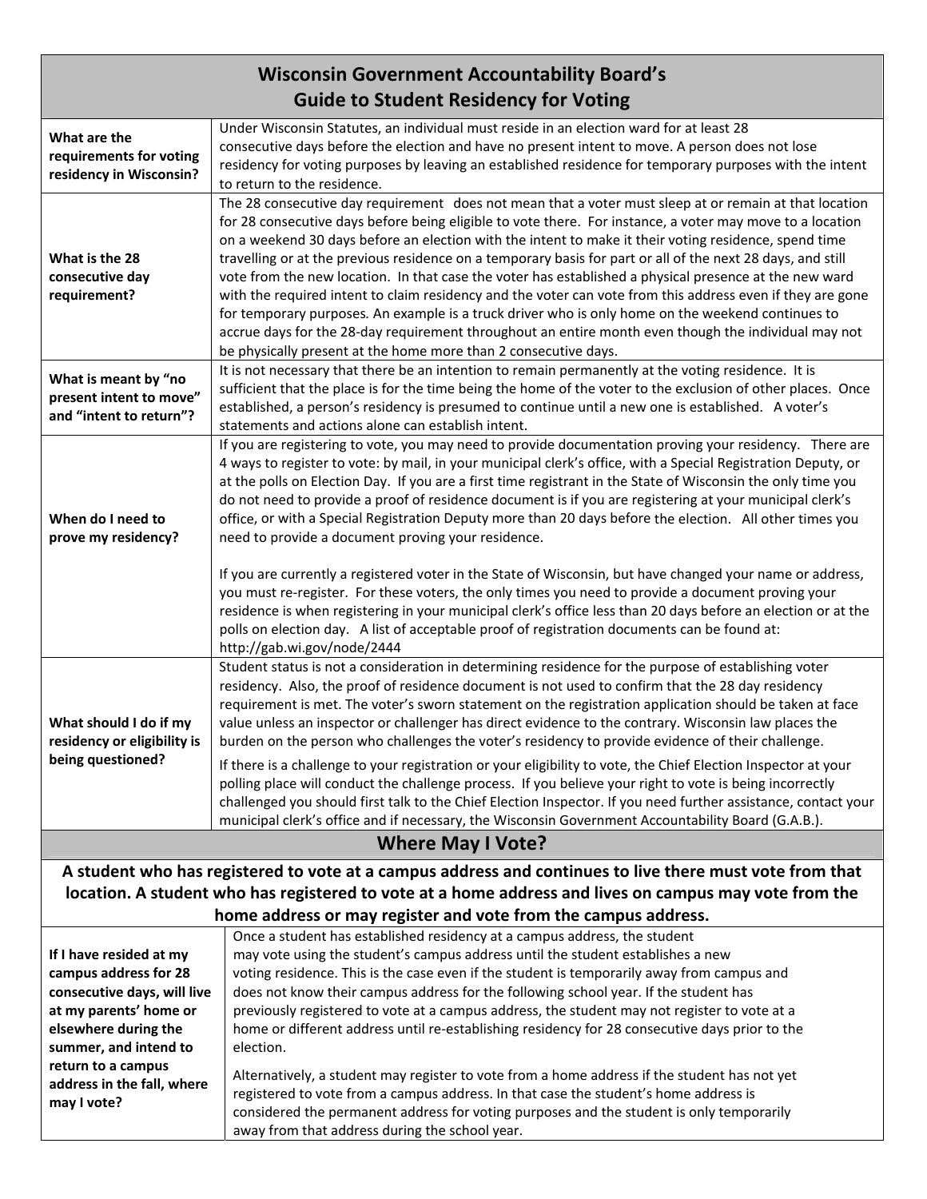## **Wisconsin Government Accountability Board's Guide to Student Residency for Voting**

|                             | Under Wisconsin Statutes, an individual must reside in an election ward for at least 28                        |  |
|-----------------------------|----------------------------------------------------------------------------------------------------------------|--|
| What are the                | consecutive days before the election and have no present intent to move. A person does not lose                |  |
| requirements for voting     | residency for voting purposes by leaving an established residence for temporary purposes with the intent       |  |
| residency in Wisconsin?     | to return to the residence.                                                                                    |  |
|                             | The 28 consecutive day requirement does not mean that a voter must sleep at or remain at that location         |  |
|                             | for 28 consecutive days before being eligible to vote there. For instance, a voter may move to a location      |  |
|                             | on a weekend 30 days before an election with the intent to make it their voting residence, spend time          |  |
| What is the 28              | travelling or at the previous residence on a temporary basis for part or all of the next 28 days, and still    |  |
| consecutive day             | vote from the new location. In that case the voter has established a physical presence at the new ward         |  |
| requirement?                | with the required intent to claim residency and the voter can vote from this address even if they are gone     |  |
|                             | for temporary purposes. An example is a truck driver who is only home on the weekend continues to              |  |
|                             | accrue days for the 28-day requirement throughout an entire month even though the individual may not           |  |
|                             | be physically present at the home more than 2 consecutive days.                                                |  |
| What is meant by "no        | It is not necessary that there be an intention to remain permanently at the voting residence. It is            |  |
| present intent to move"     | sufficient that the place is for the time being the home of the voter to the exclusion of other places. Once   |  |
| and "intent to return"?     | established, a person's residency is presumed to continue until a new one is established. A voter's            |  |
|                             | statements and actions alone can establish intent.                                                             |  |
|                             | If you are registering to vote, you may need to provide documentation proving your residency. There are        |  |
|                             | 4 ways to register to vote: by mail, in your municipal clerk's office, with a Special Registration Deputy, or  |  |
|                             | at the polls on Election Day. If you are a first time registrant in the State of Wisconsin the only time you   |  |
|                             | do not need to provide a proof of residence document is if you are registering at your municipal clerk's       |  |
| When do I need to           | office, or with a Special Registration Deputy more than 20 days before the election. All other times you       |  |
| prove my residency?         | need to provide a document proving your residence.                                                             |  |
|                             |                                                                                                                |  |
|                             | If you are currently a registered voter in the State of Wisconsin, but have changed your name or address,      |  |
|                             | you must re-register. For these voters, the only times you need to provide a document proving your             |  |
|                             | residence is when registering in your municipal clerk's office less than 20 days before an election or at the  |  |
|                             | polls on election day. A list of acceptable proof of registration documents can be found at:                   |  |
|                             | http://gab.wi.gov/node/2444                                                                                    |  |
|                             | Student status is not a consideration in determining residence for the purpose of establishing voter           |  |
|                             | residency. Also, the proof of residence document is not used to confirm that the 28 day residency              |  |
|                             | requirement is met. The voter's sworn statement on the registration application should be taken at face        |  |
| What should I do if my      | value unless an inspector or challenger has direct evidence to the contrary. Wisconsin law places the          |  |
| residency or eligibility is | burden on the person who challenges the voter's residency to provide evidence of their challenge.              |  |
| being questioned?           | If there is a challenge to your registration or your eligibility to vote, the Chief Election Inspector at your |  |
|                             | polling place will conduct the challenge process. If you believe your right to vote is being incorrectly       |  |
|                             | challenged you should first talk to the Chief Election Inspector. If you need further assistance, contact your |  |
|                             | municipal clerk's office and if necessary, the Wisconsin Government Accountability Board (G.A.B.).             |  |
| <b>Where May I Vote?</b>    |                                                                                                                |  |
|                             | A student who has registered to vote at a campus address and continues to live there must vote from that       |  |
|                             | location. A student who has registered to vote at a home address and lives on campus may vote from the         |  |
|                             | home address or may register and vote from the campus address.                                                 |  |
|                             | Once a student has established residency at a campus address, the student                                      |  |
| If I have resided at my     | may vote using the student's campus address until the student establishes a new                                |  |
| campus address for 28       | voting residence. This is the case even if the student is temporarily away from campus and                     |  |
| consecutive days, will live | does not know their campus address for the following school year. If the student has                           |  |
| at my parents' home or      | previously registered to vote at a campus address, the student may not register to vote at a                   |  |
| elsewhere during the        | home or different address until re-establishing residency for 28 consecutive days prior to the                 |  |
| summer, and intend to       | election.                                                                                                      |  |
| return to a campus          |                                                                                                                |  |
| address in the fall, where  | Alternatively, a student may register to vote from a home address if the student has not yet                   |  |
| may I vote?                 | registered to vote from a campus address. In that case the student's home address is                           |  |
|                             | considered the permanent address for voting purposes and the student is only temporarily                       |  |
|                             | away from that address during the school year.                                                                 |  |